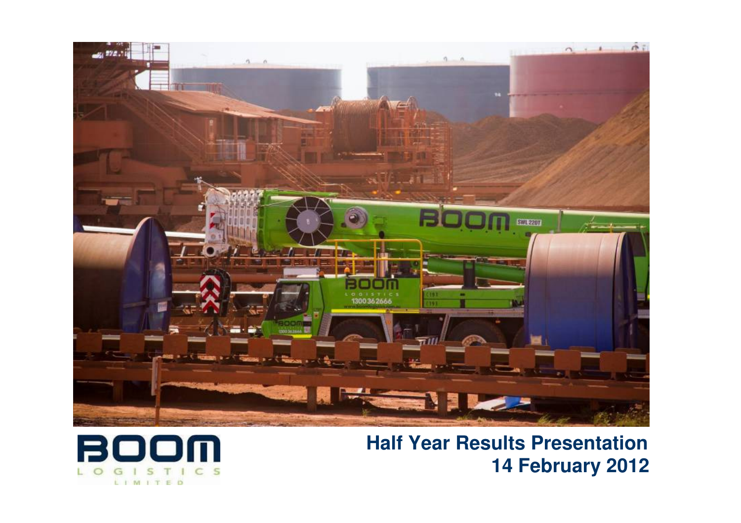

**Half Year Results Presentation 14 February 2012**

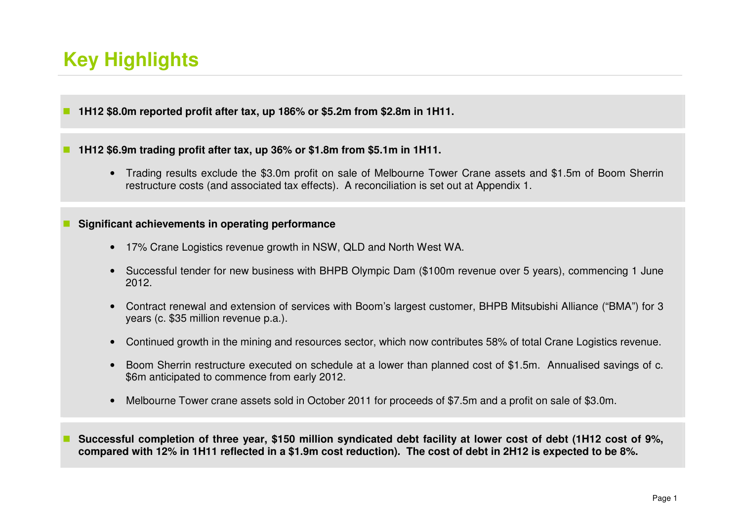# **Key Highlights**

M **1H12 \$8.0m reported profit after tax, up 186% or \$5.2m from \$2.8m in 1H11.** 

### **1H12 \$6.9m trading profit after tax, up 36% or \$1.8m from \$5.1m in 1H11.**

• Trading results exclude the \$3.0m profit on sale of Melbourne Tower Crane assets and \$1.5m of Boom Sherrin restructure costs (and associated tax effects). A reconciliation is set out at Appendix 1.

#### **Significant achievements in operating performance**

- 17% Crane Logistics revenue growth in NSW, QLD and North West WA.
- Successful tender for new business with BHPB Olympic Dam (\$100m revenue over 5 years), commencing 1 June 2012.
- Contract renewal and extension of services with Boom's largest customer, BHPB Mitsubishi Alliance ("BMA") for 3 years (c. \$35 million revenue p.a.).
- Continued growth in the mining and resources sector, which now contributes 58% of total Crane Logistics revenue.
- Boom Sherrin restructure executed on schedule at a lower than planned cost of \$1.5m. Annualised savings of c. \$6m anticipated to commence from early 2012.
- Melbourne Tower crane assets sold in October 2011 for proceeds of \$7.5m and a profit on sale of \$3.0m.

 **Successful completion of three year, \$150 million syndicated debt facility at lower cost of debt (1H12 cost of 9%, compared with 12% in 1H11 reflected in a \$1.9m cost reduction). The cost of debt in 2H12 is expected to be 8%.**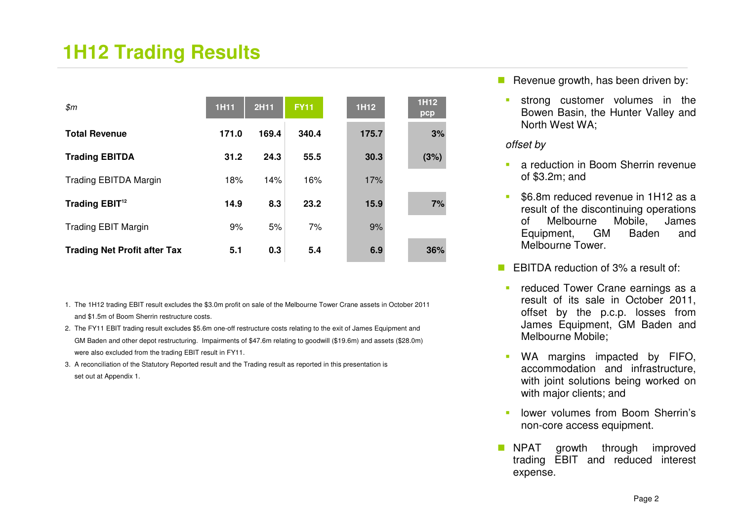## **1H12 Trading Results**

| \$m\$                               | <b>1H11</b> | 2H11  | <b>FY11</b> | 1H12  | 1H12<br>pcp |
|-------------------------------------|-------------|-------|-------------|-------|-------------|
| <b>Total Revenue</b>                | 171.0       | 169.4 | 340.4       | 175.7 | 3%          |
| <b>Trading EBITDA</b>               | 31.2        | 24.3  | 55.5        | 30.3  | (3%)        |
| <b>Trading EBITDA Margin</b>        | 18%         | 14%   | 16%         | 17%   |             |
| Trading EBIT <sup>12</sup>          | 14.9        | 8.3   | 23.2        | 15.9  | 7%          |
| <b>Trading EBIT Margin</b>          | 9%          | 5%    | 7%          | 9%    |             |
| <b>Trading Net Profit after Tax</b> | 5.1         | 0.3   | 5.4         | 6.9   | 36%         |

- 1. The 1H12 trading EBIT result excludes the \$3.0m profit on sale of the Melbourne Tower Crane assets in October 2011and \$1.5m of Boom Sherrin restructure costs.
- 2. The FY11 EBIT trading result excludes \$5.6m one-off restructure costs relating to the exit of James Equipment and GM Baden and other depot restructuring. Impairments of \$47.6m relating to goodwill (\$19.6m) and assets (\$28.0m)were also excluded from the trading EBIT result in FY11.
- 3. A reconciliation of the Statutory Reported result and the Trading result as reported in this presentation is set out at Appendix 1.

Revenue growth, has been driven by:

 strong customer volumes in the Bowen Basin, the Hunter Valley and North West WA;

#### offset by

- **a** reduction in Boom Sherrin revenue of \$3.2m; and
- - \$6.8m reduced revenue in 1H12 as a result of the discontinuing operations of Melbourne Mobile, James Equipment, GM Baden and Melbourne Tower.
- $\mathcal{L}_{\rm{max}}$  EBITDA reduction of 3% a result of:
	- reduced Tower Crane earnings as a result of its sale in October 2011, offset by the p.c.p. losses from James Equipment, GM Baden and Melbourne Mobile;
	- - WA margins impacted by FIFO, accommodation and infrastructure, with joint solutions being worked on with major clients; and
	- lower volumes from Boom Sherrin's non-core access equipment.
- a a NPAT growth through improved trading EBIT and reduced interest expense.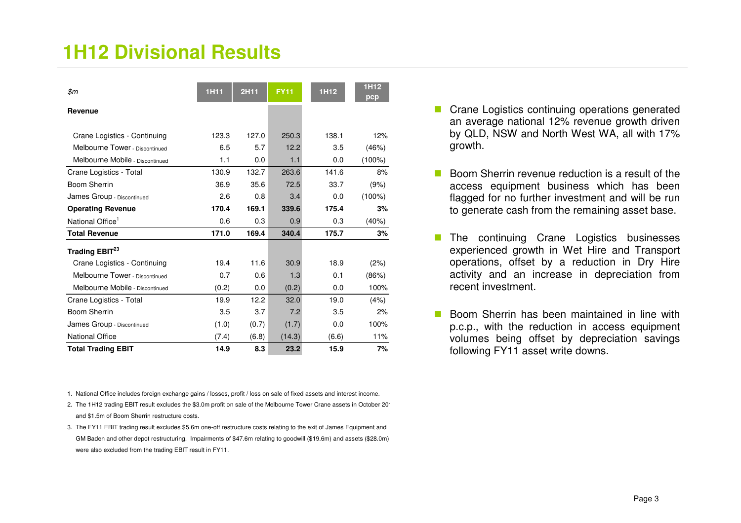## **1H12 Divisional Results**

| \$m                             | <b>1H11</b> | 2H11  | <b>FY11</b> | 1H12  | 1H12<br>pcp |
|---------------------------------|-------------|-------|-------------|-------|-------------|
| Revenue                         |             |       |             |       |             |
| Crane Logistics - Continuing    | 123.3       | 127.0 | 250.3       | 138.1 | 12%         |
| Melbourne Tower - Discontinued  | 6.5         | 5.7   | 12.2        | 3.5   | (46%)       |
| Melbourne Mobile - Discontinued | 1.1         | 0.0   | 1.1         | 0.0   | $(100\%)$   |
| Crane Logistics - Total         | 130.9       | 132.7 | 263.6       | 141.6 | 8%          |
| <b>Boom Sherrin</b>             | 36.9        | 35.6  | 72.5        | 33.7  | (9%)        |
| James Group - Discontinued      | 2.6         | 0.8   | 3.4         | 0.0   | $(100\%)$   |
| <b>Operating Revenue</b>        | 170.4       | 169.1 | 339.6       | 175.4 | 3%          |
| National Office <sup>1</sup>    | 0.6         | 0.3   | 0.9         | 0.3   | (40%)       |
| <b>Total Revenue</b>            | 171.0       | 169.4 | 340.4       | 175.7 | 3%          |
| Trading EBIT <sup>23</sup>      |             |       |             |       |             |
| Crane Logistics - Continuing    | 19.4        | 11.6  | 30.9        | 18.9  | (2%)        |
| Melbourne Tower - Discontinued  | 0.7         | 0.6   | 1.3         | 0.1   | (86%)       |
| Melbourne Mobile - Discontinued | (0.2)       | 0.0   | (0.2)       | 0.0   | 100%        |
| Crane Logistics - Total         | 19.9        | 12.2  | 32.0        | 19.0  | (4%)        |
| Boom Sherrin                    | 3.5         | 3.7   | 7.2         | 3.5   | 2%          |
| James Group - Discontinued      | (1.0)       | (0.7) | (1.7)       | 0.0   | 100%        |
| <b>National Office</b>          | (7.4)       | (6.8) | (14.3)      | (6.6) | 11%         |
| <b>Total Trading EBIT</b>       | 14.9        | 8.3   | 23.2        | 15.9  | 7%          |

1. National Office includes foreign exchange gains / losses, profit / loss on sale of fixed assets and interest income.

- 2. The 1H12 trading EBIT result excludes the \$3.0m profit on sale of the Melbourne Tower Crane assets in October 2011and \$1.5m of Boom Sherrin restructure costs.
- 3. The FY11 EBIT trading result excludes \$5.6m one-off restructure costs relating to the exit of James Equipment and GM Baden and other depot restructuring. Impairments of \$47.6m relating to goodwill (\$19.6m) and assets (\$28.0m)were also excluded from the trading EBIT result in FY11.
- Crane Logistics continuing operations generated an average national 12% revenue growth driven by QLD, NSW and North West WA, all with 17% growth.
- Boom Sherrin revenue reduction is a result of the access equipment business which has been flagged for no further investment and will be run to generate cash from the remaining asset base.
- The continuing Crane Logistics businesses<br>experienced grouth in Wet Hire and Transport experienced growth in Wet Hire and Transport operations, offset by a reduction in Dry Hire activity and an increase in depreciation from recent investment.
- **Boom Sherrin has been maintained in line with**<br>Boom with the reduction in access equipment p.c.p., with the reduction in access equipment volumes being offset by depreciation savings following FY11 asset write downs.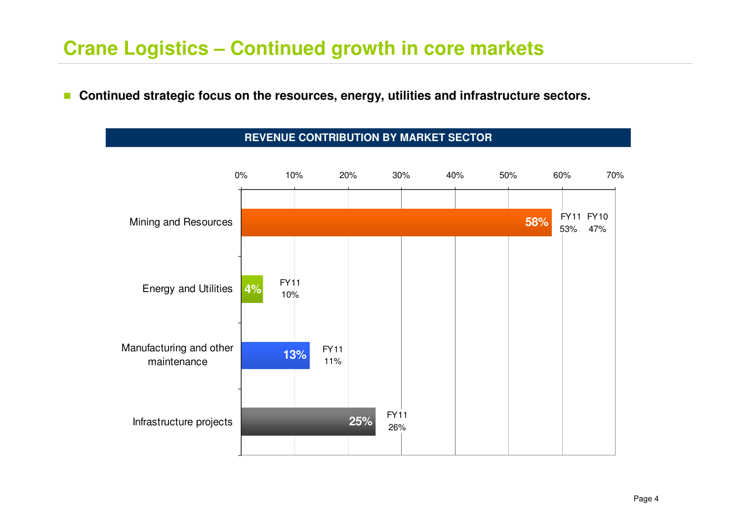## **Crane Logistics – Continued growth in core markets**

 $\Box$ **Continued strategic focus on the resources, energy, utilities and infrastructure sectors.** 



### **REVENUE CONTRIBUTION BY MARKET SECTOR**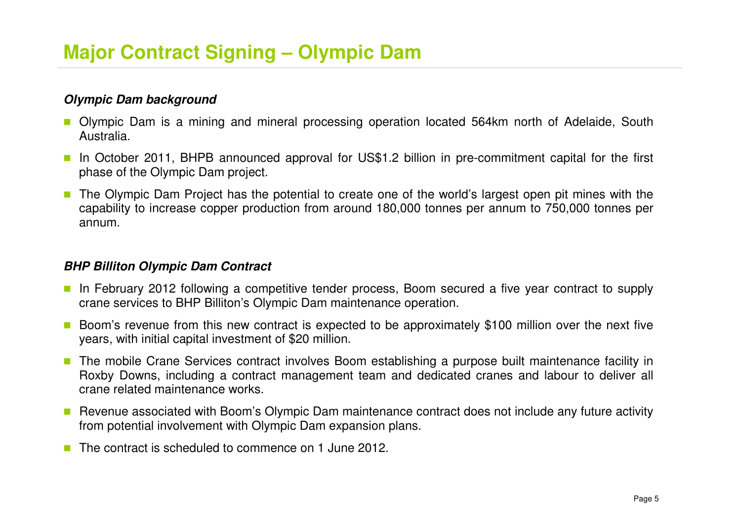### **Olympic Dam background**

- Olympic Dam is a mining and mineral processing operation located 564km north of Adelaide, South Australia.
- In October 2011, BHPB announced approval for US\$1.2 billion in pre-commitment capital for the first phase of the Olympic Dam project.
- T. The Olympic Dam Project has the potential to create one of the world's largest open pit mines with the capability to increase copper production from around 180,000 tonnes per annum to 750,000 tonnes per annum.

### **BHP Billiton Olympic Dam Contract**

- In February 2012 following a competitive tender process, Boom secured a five year contract to supply crane services to BHP Billiton's Olympic Dam maintenance operation.
- k. Boom's revenue from this new contract is expected to be approximately \$100 million over the next five years, with initial capital investment of \$20 million.
- $\overline{\mathbb{R}^n}$  The mobile Crane Services contract involves Boom establishing a purpose built maintenance facility in Roxby Downs, including a contract management team and dedicated cranes and labour to deliver all crane related maintenance works.
- Revenue associated with Boom's Olympic Dam maintenance contract does not include any future activity from potential involvement with Olympic Dam expansion plans.
- The contract is scheduled to commence on 1 June 2012.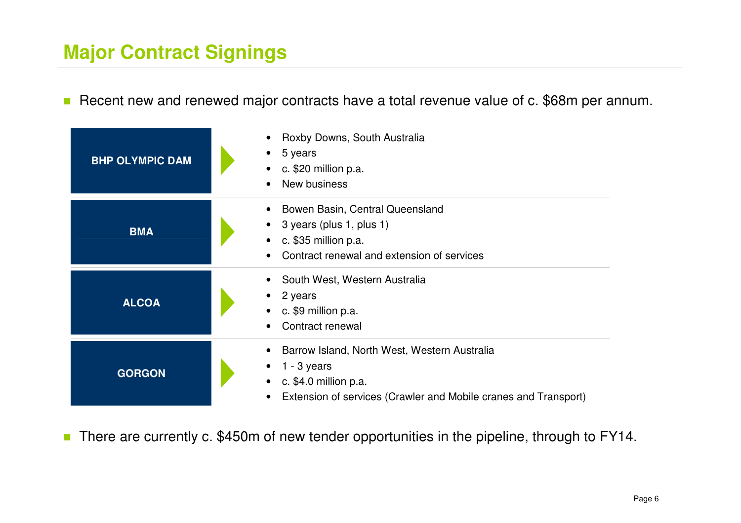# **Major Contract Signings**

■ Recent new and renewed major contracts have a total revenue value of c. \$68m per annum.

| <b>BHP OLYMPIC DAM</b> | Roxby Downs, South Australia<br>5 years<br>c. \$20 million p.a.<br>$\bullet$<br>New business<br>$\bullet$                                                                                        |
|------------------------|--------------------------------------------------------------------------------------------------------------------------------------------------------------------------------------------------|
| <b>BMA</b>             | Bowen Basin, Central Queensland<br>$\bullet$<br>3 years (plus 1, plus 1)<br>c. $$35$ million p.a.<br>$\bullet$<br>Contract renewal and extension of services<br>$\bullet$                        |
| <b>ALCOA</b>           | South West, Western Australia<br>$\bullet$<br>2 years<br>c. \$9 million p.a.<br>$\bullet$<br>Contract renewal<br>$\bullet$                                                                       |
| <b>GORGON</b>          | Barrow Island, North West, Western Australia<br>$\bullet$<br>$1 - 3$ years<br>c. \$4.0 million p.a.<br>$\bullet$<br>Extension of services (Crawler and Mobile cranes and Transport)<br>$\bullet$ |

■ There are currently c. \$450m of new tender opportunities in the pipeline, through to FY14.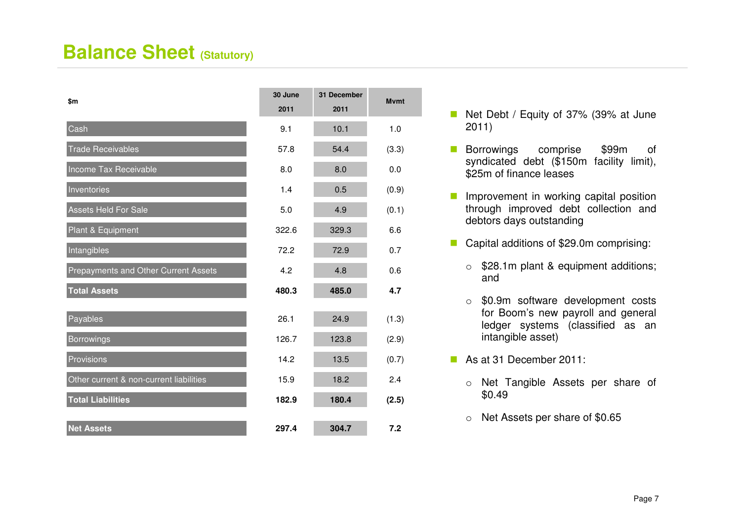### **Balance Sheet (Statutory)**

| \$m                                     | 30 June<br>2011 | 31 December<br>2011 | <b>M</b> vmt |
|-----------------------------------------|-----------------|---------------------|--------------|
| Cash                                    | 9.1             | 10.1                | 1.0          |
| <b>Trade Receivables</b>                | 57.8            | 54.4                | (3.3)        |
| Income Tax Receivable                   | 8.0             | 8.0                 | 0.0          |
| Inventories                             | 1.4             | 0.5                 | (0.9)        |
| <b>Assets Held For Sale</b>             | 5.0             | 4.9                 | (0.1)        |
| Plant & Equipment                       | 322.6           | 329.3               | 6.6          |
| Intangibles                             | 72.2            | 72.9                | 0.7          |
| Prepayments and Other Current Assets    | 4.2             | 4.8                 | 0.6          |
| <b>Total Assets</b>                     | 480.3           | 485.0               | 4.7          |
| Payables                                | 26.1            | 24.9                | (1.3)        |
| <b>Borrowings</b>                       | 126.7           | 123.8               | (2.9)        |
| Provisions                              | 14.2            | 13.5                | (0.7)        |
| Other current & non-current liabilities | 15.9            | 18.2                | 2.4          |
| <b>Total Liabilities</b>                | 182.9           | 180.4               | (2.5)        |
| <b>Net Assets</b>                       | 297.4           | 304.7               | 7.2          |

- $\mathbb{R}^3$  Net Debt / Equity of 37% (39% at June 2011)
- $\mathcal{L}(\mathcal{A})$  Borrowings comprise \$99m of syndicated debt (\$150m facility limit), \$25m of finance leases
- $\mathbb{R}^3$  Improvement in working capital position through improved debt collection and debtors days outstanding
- Capital additions of \$29.0m comprising:
	- o \$28.1m plant & equipment additions; and
	- o \$0.9m software development costs for Boom's new payroll and general ledger systems (classified as an intangible asset)
- As at 31 December 2011:
	- o Net Tangible Assets per share of \$0.49
	- o Net Assets per share of \$0.65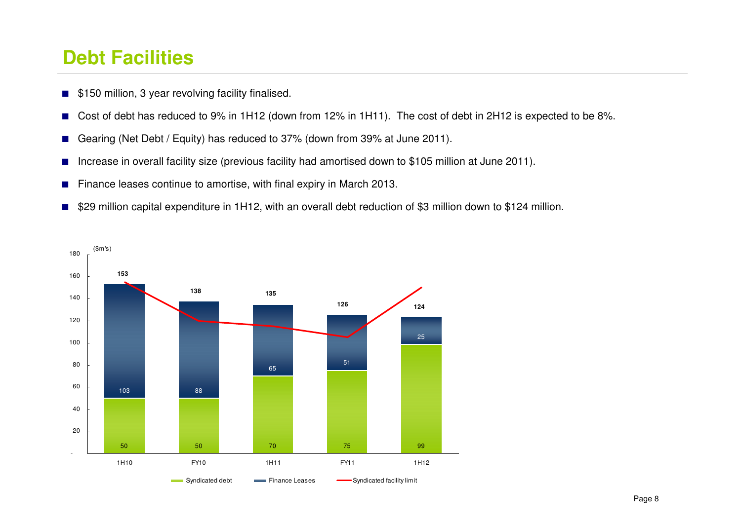### **Debt Facilities**

- \$150 million, 3 year revolving facility finalised.
- ■Cost of debt has reduced to 9% in 1H12 (down from 12% in 1H11). The cost of debt in 2H12 is expected to be 8%.
- ■Gearing (Net Debt / Equity) has reduced to 37% (down from 39% at June 2011).
- ■Increase in overall facility size (previous facility had amortised down to \$105 million at June 2011).
- ■Finance leases continue to amortise, with final expiry in March 2013.
- \$29 million capital expenditure in 1H12, with an overall debt reduction of \$3 million down to \$124 million.

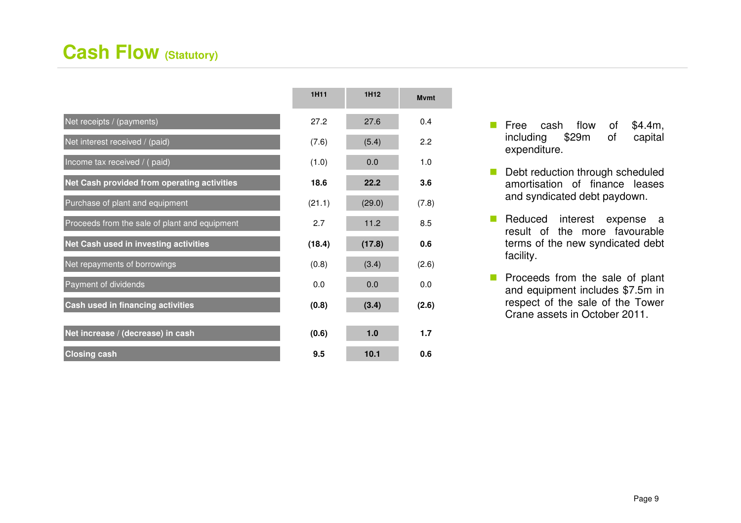## **Cash Flow (Statutory)**

|                                               | 1H11   | 1H12   | Mvmt  |
|-----------------------------------------------|--------|--------|-------|
| Net receipts / (payments)                     | 27.2   | 27.6   | 0.4   |
| Net interest received / (paid)                | (7.6)  | (5.4)  | 2.2   |
| Income tax received / (paid)                  | (1.0)  | 0.0    | 1.0   |
| Net Cash provided from operating activities   | 18.6   | 22.2   | 3.6   |
| Purchase of plant and equipment               | (21.1) | (29.0) | (7.8) |
| Proceeds from the sale of plant and equipment | 2.7    | 11.2   | 8.5   |
| Net Cash used in investing activities         | (18.4) | (17.8) | 0.6   |
| Net repayments of borrowings                  | (0.8)  | (3.4)  | (2.6) |
| Payment of dividends                          | 0.0    | 0.0    | 0.0   |
| Cash used in financing activities             | (0.8)  | (3.4)  | (2.6) |
| Net increase / (decrease) in cash             | (0.6)  | 1.0    | 1.7   |
| <b>Closing cash</b>                           | 9.5    | 10.1   | 0.6   |

**Free cash flow of \$4.4m,**<br>including \$20m of conital including \$29m of capital expenditure.

**Mvmt**

- $\mathbb{R}^3$  Debt reduction through scheduled amortisation of finance leases and syndicated debt paydown.
- × Reduced interest expense a result of the more favourable terms of the new syndicated debt facility.
- **Proceeds from the sale of plant**<br> **Proceeds from the sale of 7 Fm** in and equipment includes \$7.5m in respect of the sale of the Tower Crane assets in October 2011.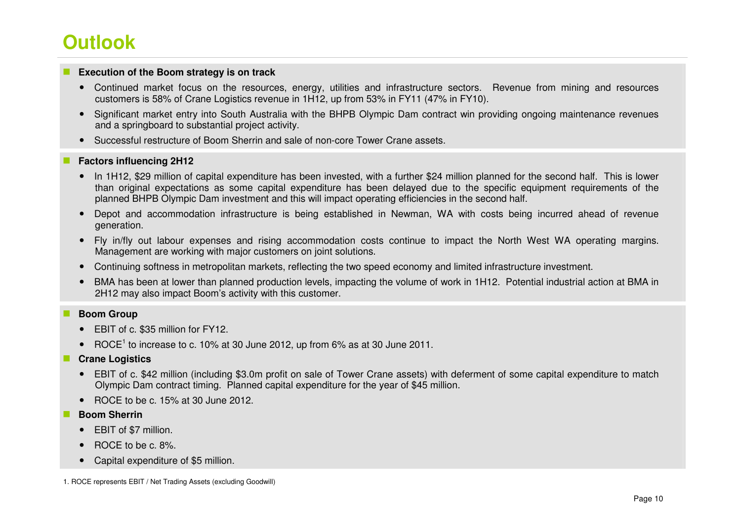# **Outlook**

#### **Execution of the Boom strategy is on track**

- Continued market focus on the resources, energy, utilities and infrastructure sectors. Revenue from mining and resources customers is 58% of Crane Logistics revenue in 1H12, up from 53% in FY11 (47% in FY10).
- Significant market entry into South Australia with the BHPB Olympic Dam contract win providing ongoing maintenance revenues and a springboard to substantial project activity.
- Successful restructure of Boom Sherrin and sale of non-core Tower Crane assets.

#### **Factors influencing 2H12**

- In 1H12, \$29 million of capital expenditure has been invested, with a further \$24 million planned for the second half. This is lower than original expectations as some capital expenditure has been delayed due to the specific equipment requirements of the planned BHPB Olympic Dam investment and this will impact operating efficiencies in the second half.
- Depot and accommodation infrastructure is being established in Newman, WA with costs being incurred ahead of revenue generation.
- Fly in/fly out labour expenses and rising accommodation costs continue to impact the North West WA operating margins. Management are working with major customers on joint solutions.
- Continuing softness in metropolitan markets, reflecting the two speed economy and limited infrastructure investment.
- BMA has been at lower than planned production levels, impacting the volume of work in 1H12. Potential industrial action at BMA in 2H12 may also impact Boom's activity with this customer.

#### **Boom Group**

- EBIT of c. \$35 million for FY12.
- ROCE<sup>1</sup> to increase to c. 10% at 30 June 2012, up from 6% as at 30 June 2011.

#### **Crane Logistics**

- EBIT of c. \$42 million (including \$3.0m profit on sale of Tower Crane assets) with deferment of some capital expenditure to match Olympic Dam contract timing. Planned capital expenditure for the year of \$45 million.
- ROCE to be c. 15% at 30 June 2012.

#### **Boom Sherrin**

- EBIT of \$7 million.
- ROCE to be c. 8%.
- Capital expenditure of \$5 million.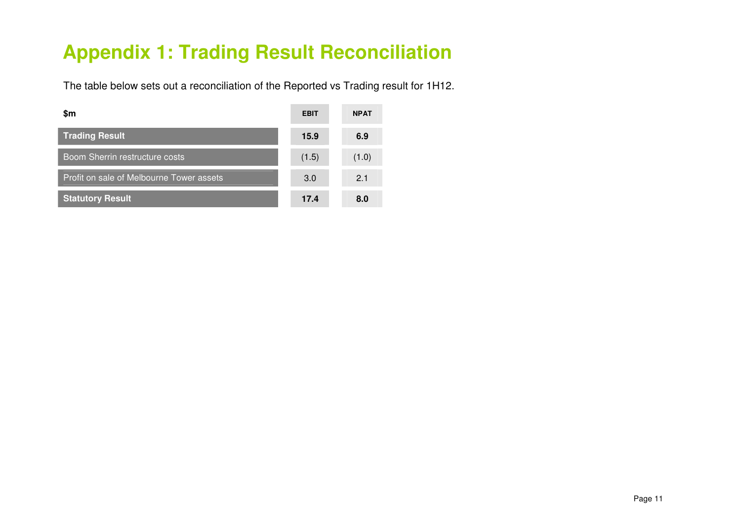# **Appendix 1: Trading Result Reconciliation**

The table below sets out a reconciliation of the Reported vs Trading result for 1H12.

| \$m                                      | <b>EBIT</b> | <b>NPAT</b> |
|------------------------------------------|-------------|-------------|
| <b>Trading Result</b>                    | 15.9        | 6.9         |
| <b>Boom Sherrin restructure costs</b>    | (1.5)       | (1.0)       |
| Profit on sale of Melbourne Tower assets | 3.0         | 2.1         |
| <b>Statutory Result</b>                  | 17.4        | 8.0         |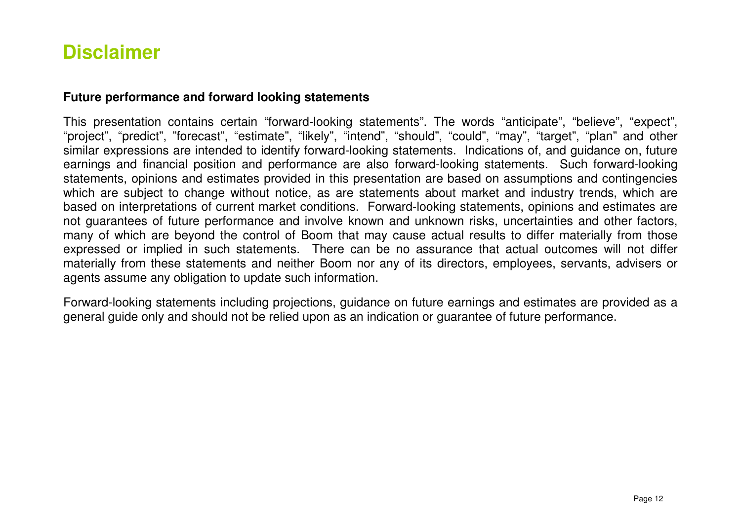### **Disclaimer**

### **Future performance and forward looking statements**

This presentation contains certain "forward-looking statements". The words "anticipate", "believe", "expect", "project", "predict", "forecast", "estimate", "likely", "intend", "should", "could", "may", "target", "plan" and other similar expressions are intended to identify forward-looking statements. Indications of, and guidance on, future earnings and financial position and performance are also forward-looking statements. Such forward-looking statements, opinions and estimates provided in this presentation are based on assumptions and contingencies which are subject to change without notice, as are statements about market and industry trends, which are based on interpretations of current market conditions. Forward-looking statements, opinions and estimates are not guarantees of future performance and involve known and unknown risks, uncertainties and other factors, many of which are beyond the control of Boom that may cause actual results to differ materially from those expressed or implied in such statements. There can be no assurance that actual outcomes will not differ materially from these statements and neither Boom nor any of its directors, employees, servants, advisers or agents assume any obligation to update such information.

Forward-looking statements including projections, guidance on future earnings and estimates are provided as a general guide only and should not be relied upon as an indication or guarantee of future performance.